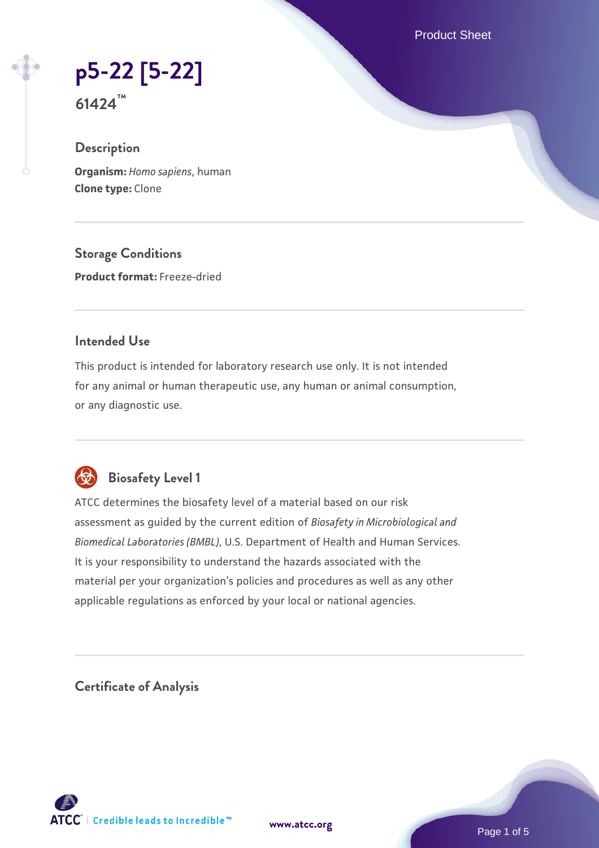Product Sheet

**[p5-22 \[5-22\]](https://www.atcc.org/products/61424)**

**61424™**

## **Description**

**Organism:** *Homo sapiens*, human **Clone type:** Clone

**Storage Conditions Product format:** Freeze-dried

### **Intended Use**

This product is intended for laboratory research use only. It is not intended for any animal or human therapeutic use, any human or animal consumption, or any diagnostic use.



# **Biosafety Level 1**

ATCC determines the biosafety level of a material based on our risk assessment as guided by the current edition of *Biosafety in Microbiological and Biomedical Laboratories (BMBL)*, U.S. Department of Health and Human Services. It is your responsibility to understand the hazards associated with the material per your organization's policies and procedures as well as any other applicable regulations as enforced by your local or national agencies.

**Certificate of Analysis**

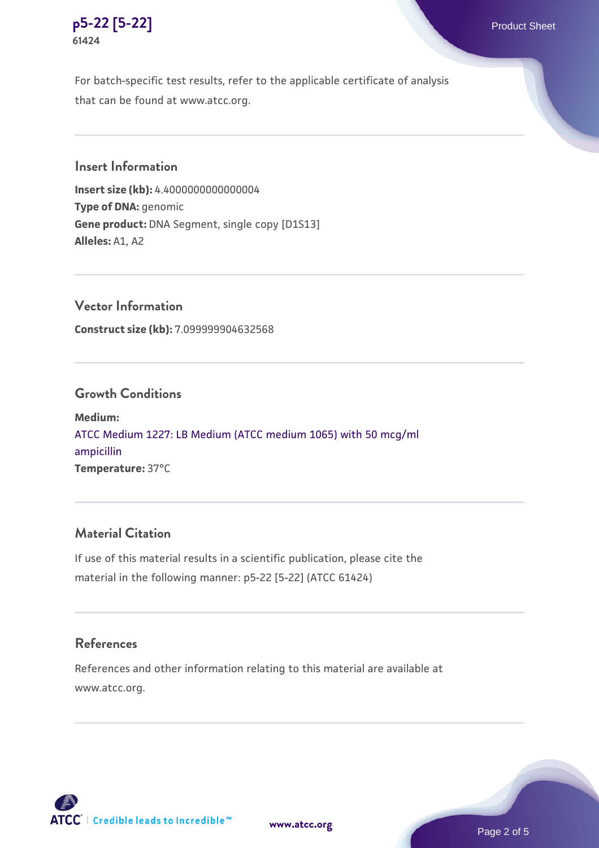

For batch-specific test results, refer to the applicable certificate of analysis that can be found at www.atcc.org.

# **Insert Information**

**Insert size (kb):** 4.4000000000000004 **Type of DNA:** genomic **Gene product:** DNA Segment, single copy [D1S13] **Alleles:** A1, A2

**Vector Information Construct size (kb):** 7.099999904632568

### **Growth Conditions**

**Medium:**  [ATCC Medium 1227: LB Medium \(ATCC medium 1065\) with 50 mcg/ml](https://www.atcc.org/-/media/product-assets/documents/microbial-media-formulations/1/2/2/7/atcc-medium-1227.pdf?rev=581c98603b3e4b29a6d62ee0ba9ca578) [ampicillin](https://www.atcc.org/-/media/product-assets/documents/microbial-media-formulations/1/2/2/7/atcc-medium-1227.pdf?rev=581c98603b3e4b29a6d62ee0ba9ca578) **Temperature:** 37°C

#### **Material Citation**

If use of this material results in a scientific publication, please cite the material in the following manner: p5-22 [5-22] (ATCC 61424)

#### **References**

References and other information relating to this material are available at www.atcc.org.



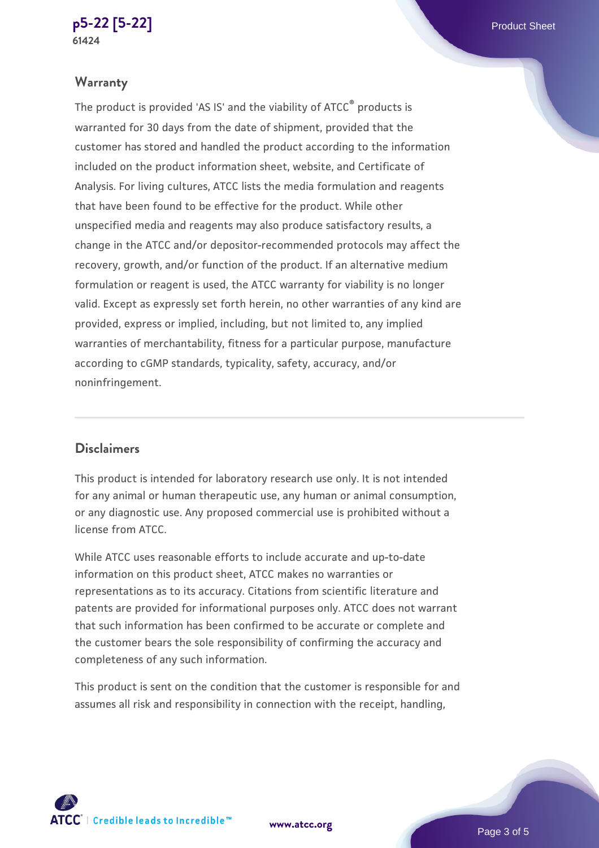#### **[p5-22 \[5-22\]](https://www.atcc.org/products/61424)** Product Sheet **61424**

# **Warranty**

The product is provided 'AS IS' and the viability of ATCC® products is warranted for 30 days from the date of shipment, provided that the customer has stored and handled the product according to the information included on the product information sheet, website, and Certificate of Analysis. For living cultures, ATCC lists the media formulation and reagents that have been found to be effective for the product. While other unspecified media and reagents may also produce satisfactory results, a change in the ATCC and/or depositor-recommended protocols may affect the recovery, growth, and/or function of the product. If an alternative medium formulation or reagent is used, the ATCC warranty for viability is no longer valid. Except as expressly set forth herein, no other warranties of any kind are provided, express or implied, including, but not limited to, any implied warranties of merchantability, fitness for a particular purpose, manufacture according to cGMP standards, typicality, safety, accuracy, and/or noninfringement.

# **Disclaimers**

This product is intended for laboratory research use only. It is not intended for any animal or human therapeutic use, any human or animal consumption, or any diagnostic use. Any proposed commercial use is prohibited without a license from ATCC.

While ATCC uses reasonable efforts to include accurate and up-to-date information on this product sheet, ATCC makes no warranties or representations as to its accuracy. Citations from scientific literature and patents are provided for informational purposes only. ATCC does not warrant that such information has been confirmed to be accurate or complete and the customer bears the sole responsibility of confirming the accuracy and completeness of any such information.

This product is sent on the condition that the customer is responsible for and assumes all risk and responsibility in connection with the receipt, handling,

 $\mathsf{ATCC}^*$  | Credible leads to Incredible  $\mathbbm{M}$ 

**[www.atcc.org](http://www.atcc.org)**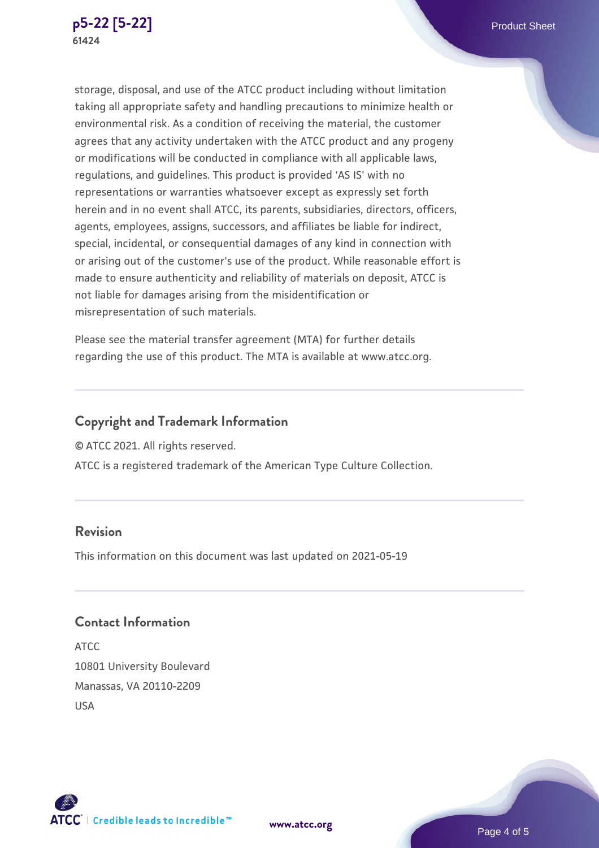

storage, disposal, and use of the ATCC product including without limitation taking all appropriate safety and handling precautions to minimize health or environmental risk. As a condition of receiving the material, the customer agrees that any activity undertaken with the ATCC product and any progeny or modifications will be conducted in compliance with all applicable laws, regulations, and guidelines. This product is provided 'AS IS' with no representations or warranties whatsoever except as expressly set forth herein and in no event shall ATCC, its parents, subsidiaries, directors, officers, agents, employees, assigns, successors, and affiliates be liable for indirect, special, incidental, or consequential damages of any kind in connection with or arising out of the customer's use of the product. While reasonable effort is made to ensure authenticity and reliability of materials on deposit, ATCC is not liable for damages arising from the misidentification or misrepresentation of such materials.

Please see the material transfer agreement (MTA) for further details regarding the use of this product. The MTA is available at www.atcc.org.

## **Copyright and Trademark Information**

© ATCC 2021. All rights reserved.

ATCC is a registered trademark of the American Type Culture Collection.

# **Revision**

This information on this document was last updated on 2021-05-19

# **Contact Information**

ATCC 10801 University Boulevard Manassas, VA 20110-2209 USA